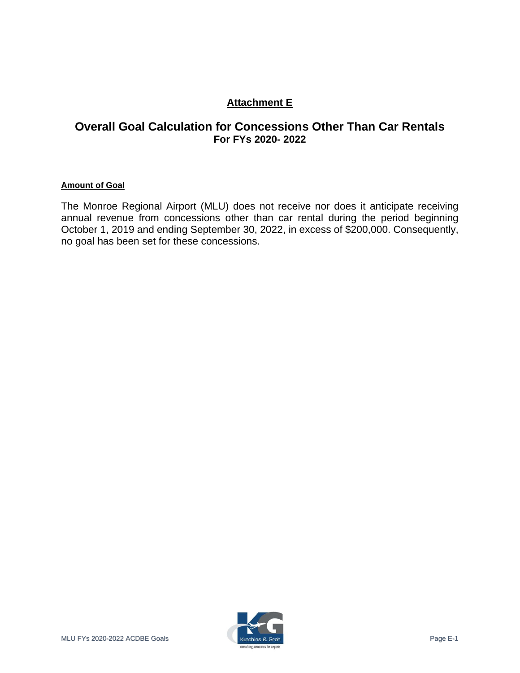# **Attachment E**

## **Overall Goal Calculation for Concessions Other Than Car Rentals For FYs 2020- 2022**

#### **Amount of Goal**

The Monroe Regional Airport (MLU) does not receive nor does it anticipate receiving annual revenue from concessions other than car rental during the period beginning October 1, 2019 and ending September 30, 2022, in excess of \$200,000. Consequently, no goal has been set for these concessions.

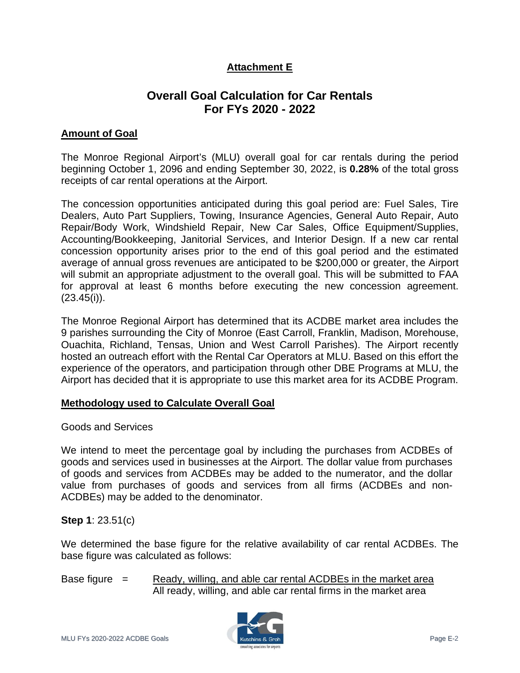# **Attachment E**

# **Overall Goal Calculation for Car Rentals For FYs 2020 - 2022**

### **Amount of Goal**

The Monroe Regional Airport's (MLU) overall goal for car rentals during the period beginning October 1, 2096 and ending September 30, 2022, is **0.28%** of the total gross receipts of car rental operations at the Airport.

The concession opportunities anticipated during this goal period are: Fuel Sales, Tire Dealers, Auto Part Suppliers, Towing, Insurance Agencies, General Auto Repair, Auto Repair/Body Work, Windshield Repair, New Car Sales, Office Equipment/Supplies, Accounting/Bookkeeping, Janitorial Services, and Interior Design. If a new car rental concession opportunity arises prior to the end of this goal period and the estimated average of annual gross revenues are anticipated to be \$200,000 or greater, the Airport will submit an appropriate adjustment to the overall goal. This will be submitted to FAA for approval at least 6 months before executing the new concession agreement.  $(23.45(i))$ .

The Monroe Regional Airport has determined that its ACDBE market area includes the 9 parishes surrounding the City of Monroe (East Carroll, Franklin, Madison, Morehouse, Ouachita, Richland, Tensas, Union and West Carroll Parishes). The Airport recently hosted an outreach effort with the Rental Car Operators at MLU. Based on this effort the experience of the operators, and participation through other DBE Programs at MLU, the Airport has decided that it is appropriate to use this market area for its ACDBE Program.

#### **Methodology used to Calculate Overall Goal**

#### Goods and Services

We intend to meet the percentage goal by including the purchases from ACDBEs of goods and services used in businesses at the Airport. The dollar value from purchases of goods and services from ACDBEs may be added to the numerator, and the dollar value from purchases of goods and services from all firms (ACDBEs and non-ACDBEs) may be added to the denominator.

#### **Step 1**: 23.51(c)

We determined the base figure for the relative availability of car rental ACDBEs. The base figure was calculated as follows:

Base figure  $=$  Ready, willing, and able car rental ACDBEs in the market area All ready, willing, and able car rental firms in the market area

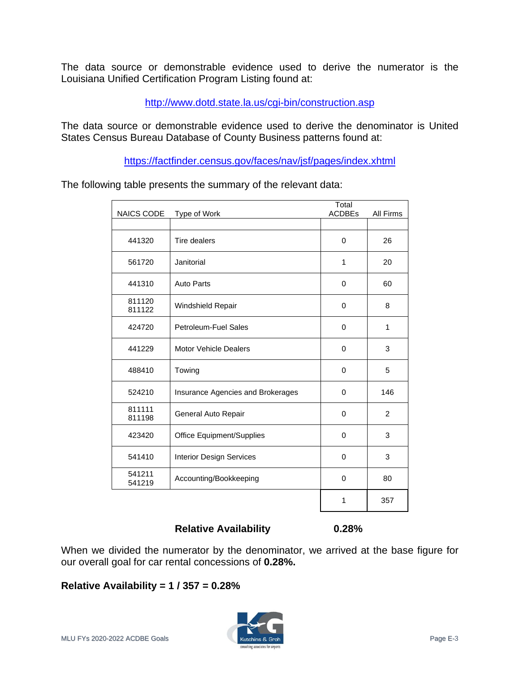The data source or demonstrable evidence used to derive the numerator is the Louisiana Unified Certification Program Listing found at:

<http://www.dotd.state.la.us/cgi-bin/construction.asp>

The data source or demonstrable evidence used to derive the denominator is United States Census Bureau Database of County Business patterns found at:

<https://factfinder.census.gov/faces/nav/jsf/pages/index.xhtml>

The following table presents the summary of the relevant data:

| NAICS CODE       | Type of Work                      | Total<br><b>ACDBEs</b> | All Firms      |
|------------------|-----------------------------------|------------------------|----------------|
|                  |                                   |                        |                |
| 441320           | Tire dealers                      | $\Omega$               | 26             |
| 561720           | Janitorial                        | 1                      | 20             |
| 441310           | <b>Auto Parts</b>                 | 0                      | 60             |
| 811120<br>811122 | Windshield Repair                 | 0                      | 8              |
| 424720           | Petroleum-Fuel Sales              | 0                      | $\mathbf{1}$   |
| 441229           | <b>Motor Vehicle Dealers</b>      | $\Omega$               | 3              |
| 488410           | Towing                            | 0                      | 5              |
| 524210           | Insurance Agencies and Brokerages | 0                      | 146            |
| 811111<br>811198 | General Auto Repair               | $\Omega$               | $\overline{2}$ |
| 423420           | <b>Office Equipment/Supplies</b>  | $\Omega$               | 3              |
| 541410           | <b>Interior Design Services</b>   | $\Omega$               | 3              |
| 541211<br>541219 | Accounting/Bookkeeping            | $\Omega$               | 80             |
|                  |                                   | 1                      | 357            |

#### **Relative Availability 0.28%**

When we divided the numerator by the denominator, we arrived at the base figure for our overall goal for car rental concessions of **0.28%.**

## **Relative Availability = 1 / 357 = 0.28%**

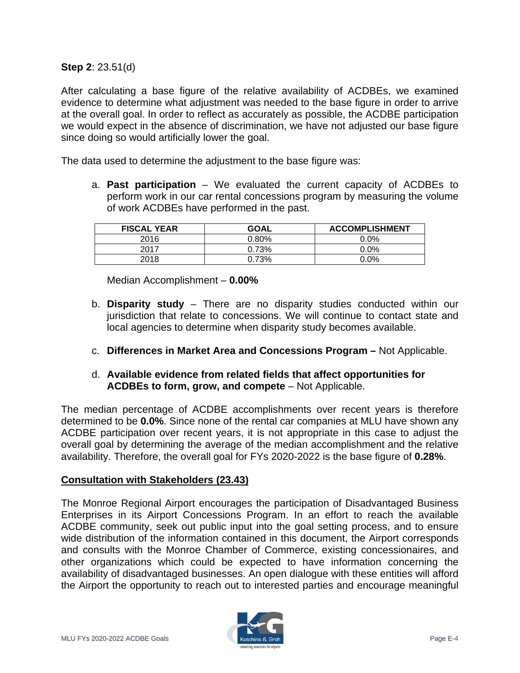**Step 2**: 23.51(d)

After calculating a base figure of the relative availability of ACDBEs, we examined evidence to determine what adjustment was needed to the base figure in order to arrive at the overall goal. In order to reflect as accurately as possible, the ACDBE participation we would expect in the absence of discrimination, we have not adjusted our base figure since doing so would artificially lower the goal.

The data used to determine the adjustment to the base figure was:

a. **Past participation** – We evaluated the current capacity of ACDBEs to perform work in our car rental concessions program by measuring the volume of work ACDBEs have performed in the past.

| <b>FISCAL YEAR</b> | <b>GOAL</b> | <b>ACCOMPLISHMENT</b> |
|--------------------|-------------|-----------------------|
| 2016               | $0.80\%$    | $0.0\%$               |
| 2017               | 0.73%       | $0.0\%$               |
| 2018               | 0.73%       | $0.0\%$               |

Median Accomplishment – **0.00%**

- b. **Disparity study** There are no disparity studies conducted within our jurisdiction that relate to concessions. We will continue to contact state and local agencies to determine when disparity study becomes available.
- c. **Differences in Market Area and Concessions Program –** Not Applicable.
- d. **Available evidence from related fields that affect opportunities for ACDBEs to form, grow, and compete** – Not Applicable.

The median percentage of ACDBE accomplishments over recent years is therefore determined to be **0.0%**. Since none of the rental car companies at MLU have shown any ACDBE participation over recent years, it is not appropriate in this case to adjust the overall goal by determining the average of the median accomplishment and the relative availability. Therefore, the overall goal for FYs 2020-2022 is the base figure of **0.28%**.

#### **Consultation with Stakeholders (23.43)**

The Monroe Regional Airport encourages the participation of Disadvantaged Business Enterprises in its Airport Concessions Program. In an effort to reach the available ACDBE community, seek out public input into the goal setting process, and to ensure wide distribution of the information contained in this document, the Airport corresponds and consults with the Monroe Chamber of Commerce, existing concessionaires, and other organizations which could be expected to have information concerning the availability of disadvantaged businesses. An open dialogue with these entities will afford the Airport the opportunity to reach out to interested parties and encourage meaningful

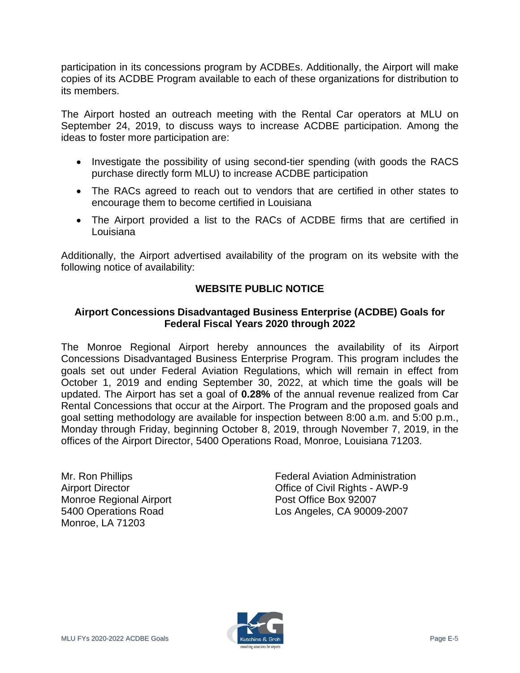participation in its concessions program by ACDBEs. Additionally, the Airport will make copies of its ACDBE Program available to each of these organizations for distribution to its members.

The Airport hosted an outreach meeting with the Rental Car operators at MLU on September 24, 2019, to discuss ways to increase ACDBE participation. Among the ideas to foster more participation are:

- Investigate the possibility of using second-tier spending (with goods the RACS purchase directly form MLU) to increase ACDBE participation
- The RACs agreed to reach out to vendors that are certified in other states to encourage them to become certified in Louisiana
- The Airport provided a list to the RACs of ACDBE firms that are certified in Louisiana

Additionally, the Airport advertised availability of the program on its website with the following notice of availability:

## **WEBSITE PUBLIC NOTICE**

## **Airport Concessions Disadvantaged Business Enterprise (ACDBE) Goals for Federal Fiscal Years 2020 through 2022**

The Monroe Regional Airport hereby announces the availability of its Airport Concessions Disadvantaged Business Enterprise Program. This program includes the goals set out under Federal Aviation Regulations, which will remain in effect from October 1, 2019 and ending September 30, 2022, at which time the goals will be updated. The Airport has set a goal of **0.28%** of the annual revenue realized from Car Rental Concessions that occur at the Airport. The Program and the proposed goals and goal setting methodology are available for inspection between 8:00 a.m. and 5:00 p.m., Monday through Friday, beginning October 8, 2019, through November 7, 2019, in the offices of the Airport Director, 5400 Operations Road, Monroe, Louisiana 71203.

Mr. Ron Phillips Airport Director Monroe Regional Airport 5400 Operations Road Monroe, LA 71203

Federal Aviation Administration Office of Civil Rights - AWP-9 Post Office Box 92007 Los Angeles, CA 90009-2007

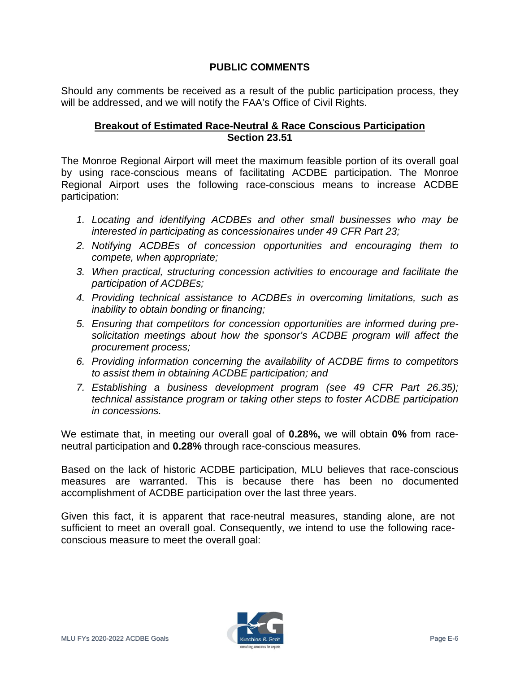## **PUBLIC COMMENTS**

Should any comments be received as a result of the public participation process, they will be addressed, and we will notify the FAA's Office of Civil Rights.

#### **Breakout of Estimated Race-Neutral & Race Conscious Participation Section 23.51**

The Monroe Regional Airport will meet the maximum feasible portion of its overall goal by using race-conscious means of facilitating ACDBE participation. The Monroe Regional Airport uses the following race-conscious means to increase ACDBE participation:

- *1. Locating and identifying ACDBEs and other small businesses who may be interested in participating as concessionaires under 49 CFR Part 23;*
- *2. Notifying ACDBEs of concession opportunities and encouraging them to compete, when appropriate;*
- *3. When practical, structuring concession activities to encourage and facilitate the participation of ACDBEs;*
- *4. Providing technical assistance to ACDBEs in overcoming limitations, such as inability to obtain bonding or financing;*
- *5. Ensuring that competitors for concession opportunities are informed during presolicitation meetings about how the sponsor's ACDBE program will affect the procurement process;*
- *6. Providing information concerning the availability of ACDBE firms to competitors to assist them in obtaining ACDBE participation; and*
- *7. Establishing a business development program (see 49 CFR Part 26.35); technical assistance program or taking other steps to foster ACDBE participation in concessions.*

We estimate that, in meeting our overall goal of **0.28%,** we will obtain **0%** from raceneutral participation and **0.28%** through race-conscious measures.

Based on the lack of historic ACDBE participation, MLU believes that race-conscious measures are warranted. This is because there has been no documented accomplishment of ACDBE participation over the last three years.

Given this fact, it is apparent that race-neutral measures, standing alone, are not sufficient to meet an overall goal. Consequently, we intend to use the following raceconscious measure to meet the overall goal: